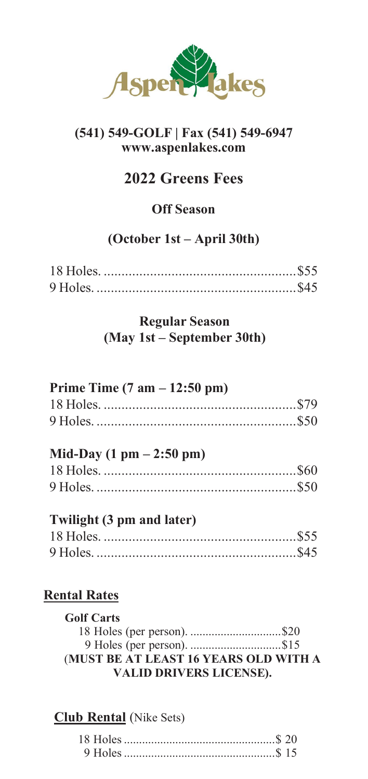

## **(541) 549-GOLF | Fax (541) 549-6947 [www.aspenlakes.com](http://www.aspenlakes.com/)**

# **2022 Greens Fees**

# **Off Season**

# **(October 1st – April 30th)**

## **Regular Season (May 1st – September 30th)**

| Prime Time $(7 \text{ am} - 12:50 \text{ pm})$ |  |
|------------------------------------------------|--|
|                                                |  |
|                                                |  |
|                                                |  |

#### **Mid-Day (1 pm – 2:50 pm)**  $18 \text{ Holes.}$

# **Twilight (3 pm and later)**

# **Rental Rates**

| <b>Golf Carts</b>                     |  |
|---------------------------------------|--|
| 18 Holes (per person). \$20           |  |
| 9 Holes (per person). \$15            |  |
| (MUST BE AT LEAST 16 YEARS OLD WITH A |  |
| <b>VALID DRIVERS LICENSE).</b>        |  |

# **Club Rental** (Nike Sets)